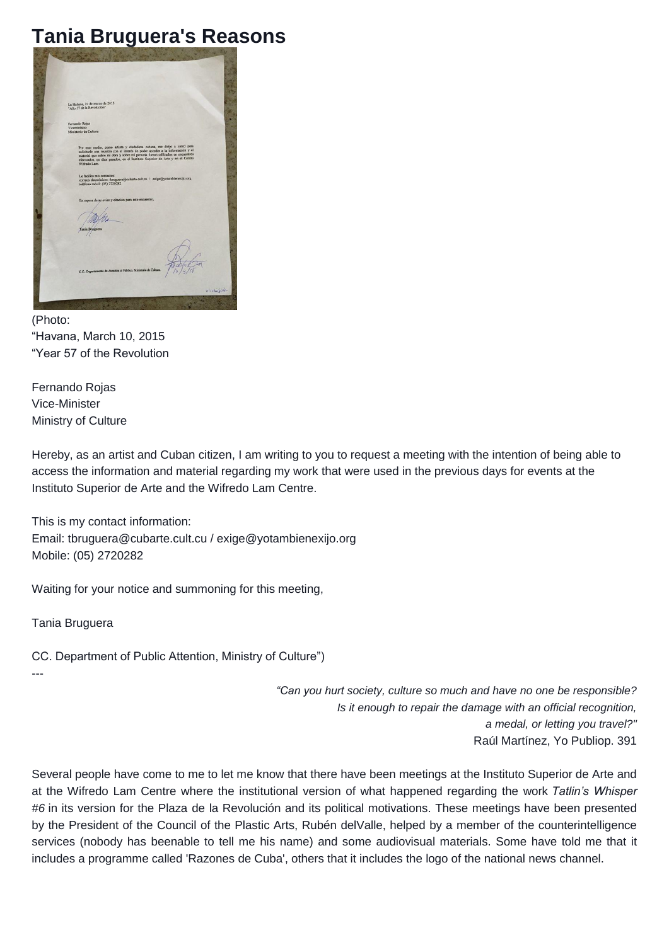## **Tania Bruguera's Reasons**

| La Habana, 10 de marzo de 2015<br>"Año 57 de la Revolución"                                                                                                                                                                               |            |
|-------------------------------------------------------------------------------------------------------------------------------------------------------------------------------------------------------------------------------------------|------------|
|                                                                                                                                                                                                                                           |            |
| Fernando Rojas<br>Viceministro                                                                                                                                                                                                            |            |
| Ministerio de Cultura                                                                                                                                                                                                                     |            |
| Por este medio, como artista y ciudadana cubana, me dirijo a usted para<br>solicitarle una reunión con el interés de poder acceder a la información y el<br>material que sobre mi obra y sobre mi persona fueran utilizados en encuentros |            |
| efectuados, en días pasados, en el Instituto Superior de Arte y en el Centro<br>Wifredo Lam.                                                                                                                                              |            |
| Le facilito mis contactos:<br>correos electrónicos: thruguera@cubarte.cult.cu / exige@yotambienexijo.org<br>teléfono móvil: (05) 2720282                                                                                                  |            |
|                                                                                                                                                                                                                                           |            |
| En espera de su aviso y citación para este encuentro,                                                                                                                                                                                     |            |
|                                                                                                                                                                                                                                           |            |
| Tania Bruguera                                                                                                                                                                                                                            |            |
|                                                                                                                                                                                                                                           |            |
|                                                                                                                                                                                                                                           |            |
| C.C.: Departamento de Atención al Público, Ministerio de Cultura.                                                                                                                                                                         |            |
|                                                                                                                                                                                                                                           |            |
|                                                                                                                                                                                                                                           | Winderston |

(Photo: "Havana, March 10, 2015 "Year 57 of the Revolution

Fernando Rojas Vice-Minister Ministry of Culture

Hereby, as an artist and Cuban citizen, I am writing to you to request a meeting with the intention of being able to access the information and material regarding my work that were used in the previous days for events at the Instituto Superior de Arte and the Wifredo Lam Centre.

This is my contact information: Email: tbruguera@cubarte.cult.cu / exige@yotambienexijo.org Mobile: (05) 2720282

Waiting for your notice and summoning for this meeting,

Tania Bruguera

CC. Department of Public Attention, Ministry of Culture") ---

> *"Can you hurt society, culture so much and have no one be responsible? Is it enough to repair the damage with an official recognition, a medal, or letting you travel?"* Raúl Martínez, Yo Publiop. 391

Several people have come to me to let me know that there have been meetings at the Instituto Superior de Arte and at the Wifredo Lam Centre where the institutional version of what happened regarding the work *Tatlin's Whisper #6* in its version for the Plaza de la Revolución and its political motivations. These meetings have been presented by the President of the Council of the Plastic Arts, Rubén delValle, helped by a member of the counterintelligence services (nobody has beenable to tell me his name) and some audiovisual materials. Some have told me that it includes a programme called 'Razones de Cuba', others that it includes the logo of the national news channel.